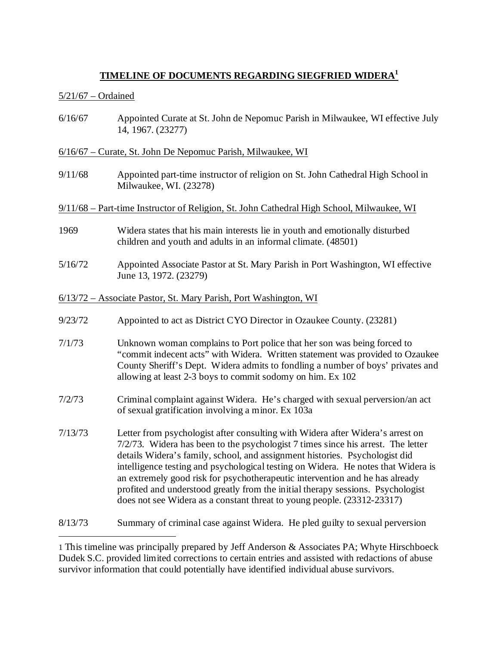# **TIMELINE OF DOCUMENTS REGARDING SIEGFRIED WIDERA<sup>1</sup>**

### 5/21/67 – Ordained

6/16/67 Appointed Curate at St. John de Nepomuc Parish in Milwaukee, WI effective July 14, 1967. (23277)

## 6/16/67 – Curate, St. John De Nepomuc Parish, Milwaukee, WI

9/11/68 Appointed part-time instructor of religion on St. John Cathedral High School in Milwaukee, WI. (23278)

#### 9/11/68 – Part-time Instructor of Religion, St. John Cathedral High School, Milwaukee, WI

- 1969 Widera states that his main interests lie in youth and emotionally disturbed children and youth and adults in an informal climate. (48501)
- 5/16/72 Appointed Associate Pastor at St. Mary Parish in Port Washington, WI effective June 13, 1972. (23279)
- 6/13/72 Associate Pastor, St. Mary Parish, Port Washington, WI
- 9/23/72 Appointed to act as District CYO Director in Ozaukee County. (23281)
- 7/1/73 Unknown woman complains to Port police that her son was being forced to "commit indecent acts" with Widera. Written statement was provided to Ozaukee County Sheriff's Dept. Widera admits to fondling a number of boys' privates and allowing at least 2-3 boys to commit sodomy on him. Ex 102
- 7/2/73 Criminal complaint against Widera. He's charged with sexual perversion/an act of sexual gratification involving a minor. Ex 103a
- 7/13/73 Letter from psychologist after consulting with Widera after Widera's arrest on 7/2/73. Widera has been to the psychologist 7 times since his arrest. The letter details Widera's family, school, and assignment histories. Psychologist did intelligence testing and psychological testing on Widera. He notes that Widera is an extremely good risk for psychotherapeutic intervention and he has already profited and understood greatly from the initial therapy sessions. Psychologist does not see Widera as a constant threat to young people. (23312-23317)

8/13/73 Summary of criminal case against Widera. He pled guilty to sexual perversion

1 This timeline was principally prepared by Jeff Anderson & Associates PA; Whyte Hirschboeck Dudek S.C. provided limited corrections to certain entries and assisted with redactions of abuse survivor information that could potentially have identified individual abuse survivors.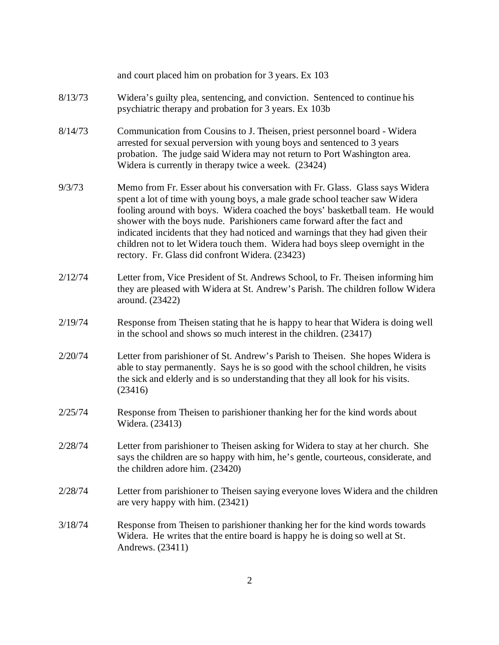|         | and court placed him on probation for 3 years. Ex 103                                                                                                                                                                                                                                                                                                                                                                                                                                                                                          |
|---------|------------------------------------------------------------------------------------------------------------------------------------------------------------------------------------------------------------------------------------------------------------------------------------------------------------------------------------------------------------------------------------------------------------------------------------------------------------------------------------------------------------------------------------------------|
| 8/13/73 | Widera's guilty plea, sentencing, and conviction. Sentenced to continue his<br>psychiatric therapy and probation for 3 years. Ex 103b                                                                                                                                                                                                                                                                                                                                                                                                          |
| 8/14/73 | Communication from Cousins to J. Theisen, priest personnel board - Widera<br>arrested for sexual perversion with young boys and sentenced to 3 years<br>probation. The judge said Widera may not return to Port Washington area.<br>Widera is currently in therapy twice a week. (23424)                                                                                                                                                                                                                                                       |
| 9/3/73  | Memo from Fr. Esser about his conversation with Fr. Glass. Glass says Widera<br>spent a lot of time with young boys, a male grade school teacher saw Widera<br>fooling around with boys. Widera coached the boys' basketball team. He would<br>shower with the boys nude. Parishioners came forward after the fact and<br>indicated incidents that they had noticed and warnings that they had given their<br>children not to let Widera touch them. Widera had boys sleep overnight in the<br>rectory. Fr. Glass did confront Widera. (23423) |
| 2/12/74 | Letter from, Vice President of St. Andrews School, to Fr. Theisen informing him<br>they are pleased with Widera at St. Andrew's Parish. The children follow Widera<br>around. (23422)                                                                                                                                                                                                                                                                                                                                                          |
| 2/19/74 | Response from Theisen stating that he is happy to hear that Widera is doing well<br>in the school and shows so much interest in the children. (23417)                                                                                                                                                                                                                                                                                                                                                                                          |
| 2/20/74 | Letter from parishioner of St. Andrew's Parish to Theisen. She hopes Widera is<br>able to stay permanently. Says he is so good with the school children, he visits<br>the sick and elderly and is so understanding that they all look for his visits.<br>(23416)                                                                                                                                                                                                                                                                               |
| 2/25/74 | Response from Theisen to parishioner thanking her for the kind words about<br>Widera. (23413)                                                                                                                                                                                                                                                                                                                                                                                                                                                  |
| 2/28/74 | Letter from parishioner to Theisen asking for Widera to stay at her church. She<br>says the children are so happy with him, he's gentle, courteous, considerate, and<br>the children adore him. (23420)                                                                                                                                                                                                                                                                                                                                        |
| 2/28/74 | Letter from parishioner to Theisen saying everyone loves Widera and the children<br>are very happy with him. (23421)                                                                                                                                                                                                                                                                                                                                                                                                                           |
| 3/18/74 | Response from Theisen to parishioner thanking her for the kind words towards<br>Widera. He writes that the entire board is happy he is doing so well at St.<br>Andrews. (23411)                                                                                                                                                                                                                                                                                                                                                                |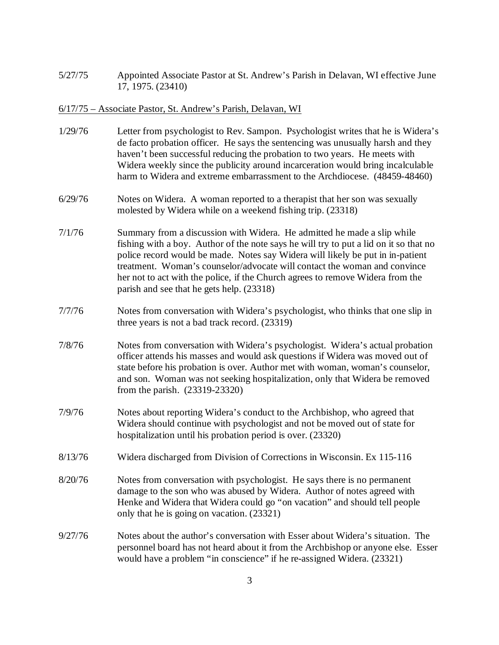5/27/75 Appointed Associate Pastor at St. Andrew's Parish in Delavan, WI effective June 17, 1975. (23410)

#### 6/17/75 – Associate Pastor, St. Andrew's Parish, Delavan, WI

- 1/29/76 Letter from psychologist to Rev. Sampon. Psychologist writes that he is Widera's de facto probation officer. He says the sentencing was unusually harsh and they haven't been successful reducing the probation to two years. He meets with Widera weekly since the publicity around incarceration would bring incalculable harm to Widera and extreme embarrassment to the Archdiocese. (48459-48460)
- 6/29/76 Notes on Widera. A woman reported to a therapist that her son was sexually molested by Widera while on a weekend fishing trip. (23318)
- 7/1/76 Summary from a discussion with Widera. He admitted he made a slip while fishing with a boy. Author of the note says he will try to put a lid on it so that no police record would be made. Notes say Widera will likely be put in in-patient treatment. Woman's counselor/advocate will contact the woman and convince her not to act with the police, if the Church agrees to remove Widera from the parish and see that he gets help. (23318)
- 7/7/76 Notes from conversation with Widera's psychologist, who thinks that one slip in three years is not a bad track record. (23319)
- 7/8/76 Notes from conversation with Widera's psychologist. Widera's actual probation officer attends his masses and would ask questions if Widera was moved out of state before his probation is over. Author met with woman, woman's counselor, and son. Woman was not seeking hospitalization, only that Widera be removed from the parish. (23319-23320)
- 7/9/76 Notes about reporting Widera's conduct to the Archbishop, who agreed that Widera should continue with psychologist and not be moved out of state for hospitalization until his probation period is over. (23320)
- 8/13/76 Widera discharged from Division of Corrections in Wisconsin. Ex 115-116
- 8/20/76 Notes from conversation with psychologist. He says there is no permanent damage to the son who was abused by Widera. Author of notes agreed with Henke and Widera that Widera could go "on vacation" and should tell people only that he is going on vacation. (23321)
- 9/27/76 Notes about the author's conversation with Esser about Widera's situation. The personnel board has not heard about it from the Archbishop or anyone else. Esser would have a problem "in conscience" if he re-assigned Widera. (23321)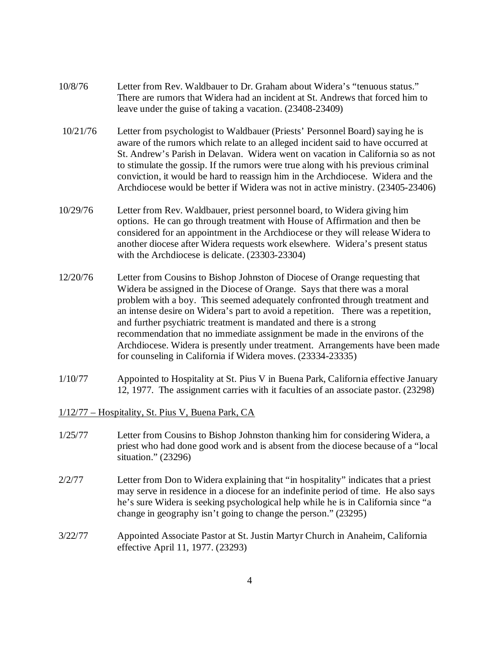- 10/8/76 Letter from Rev. Waldbauer to Dr. Graham about Widera's "tenuous status." There are rumors that Widera had an incident at St. Andrews that forced him to leave under the guise of taking a vacation. (23408-23409)
- 10/21/76 Letter from psychologist to Waldbauer (Priests' Personnel Board) saying he is aware of the rumors which relate to an alleged incident said to have occurred at St. Andrew's Parish in Delavan. Widera went on vacation in California so as not to stimulate the gossip. If the rumors were true along with his previous criminal conviction, it would be hard to reassign him in the Archdiocese. Widera and the Archdiocese would be better if Widera was not in active ministry. (23405-23406)
- 10/29/76 Letter from Rev. Waldbauer, priest personnel board, to Widera giving him options. He can go through treatment with House of Affirmation and then be considered for an appointment in the Archdiocese or they will release Widera to another diocese after Widera requests work elsewhere. Widera's present status with the Archdiocese is delicate. (23303-23304)
- 12/20/76 Letter from Cousins to Bishop Johnston of Diocese of Orange requesting that Widera be assigned in the Diocese of Orange. Says that there was a moral problem with a boy. This seemed adequately confronted through treatment and an intense desire on Widera's part to avoid a repetition. There was a repetition, and further psychiatric treatment is mandated and there is a strong recommendation that no immediate assignment be made in the environs of the Archdiocese. Widera is presently under treatment. Arrangements have been made for counseling in California if Widera moves. (23334-23335)
- 1/10/77 Appointed to Hospitality at St. Pius V in Buena Park, California effective January 12, 1977. The assignment carries with it faculties of an associate pastor. (23298)
- 1/12/77 Hospitality, St. Pius V, Buena Park, CA
- 1/25/77 Letter from Cousins to Bishop Johnston thanking him for considering Widera, a priest who had done good work and is absent from the diocese because of a "local situation." (23296)
- 2/2/77 Letter from Don to Widera explaining that "in hospitality" indicates that a priest may serve in residence in a diocese for an indefinite period of time. He also says he's sure Widera is seeking psychological help while he is in California since "a change in geography isn't going to change the person." (23295)
- 3/22/77 Appointed Associate Pastor at St. Justin Martyr Church in Anaheim, California effective April 11, 1977. (23293)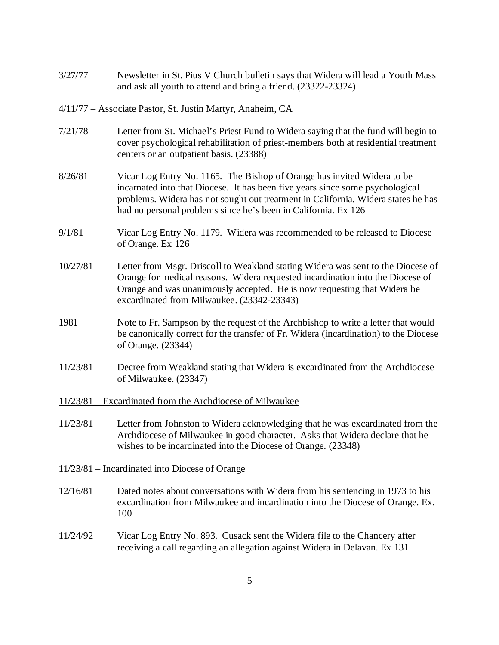3/27/77 Newsletter in St. Pius V Church bulletin says that Widera will lead a Youth Mass and ask all youth to attend and bring a friend. (23322-23324)

#### 4/11/77 – Associate Pastor, St. Justin Martyr, Anaheim, CA

- 7/21/78 Letter from St. Michael's Priest Fund to Widera saying that the fund will begin to cover psychological rehabilitation of priest-members both at residential treatment centers or an outpatient basis. (23388)
- 8/26/81 Vicar Log Entry No. 1165. The Bishop of Orange has invited Widera to be incarnated into that Diocese. It has been five years since some psychological problems. Widera has not sought out treatment in California. Widera states he has had no personal problems since he's been in California. Ex 126
- 9/1/81 Vicar Log Entry No. 1179. Widera was recommended to be released to Diocese of Orange. Ex 126
- 10/27/81 Letter from Msgr. Driscoll to Weakland stating Widera was sent to the Diocese of Orange for medical reasons. Widera requested incardination into the Diocese of Orange and was unanimously accepted. He is now requesting that Widera be excardinated from Milwaukee. (23342-23343)
- 1981 Note to Fr. Sampson by the request of the Archbishop to write a letter that would be canonically correct for the transfer of Fr. Widera (incardination) to the Diocese of Orange. (23344)
- 11/23/81 Decree from Weakland stating that Widera is excardinated from the Archdiocese of Milwaukee. (23347)
- 11/23/81 Excardinated from the Archdiocese of Milwaukee
- 11/23/81 Letter from Johnston to Widera acknowledging that he was excardinated from the Archdiocese of Milwaukee in good character. Asks that Widera declare that he wishes to be incardinated into the Diocese of Orange. (23348)
- 11/23/81 Incardinated into Diocese of Orange
- 12/16/81 Dated notes about conversations with Widera from his sentencing in 1973 to his excardination from Milwaukee and incardination into the Diocese of Orange. Ex. 100
- 11/24/92 Vicar Log Entry No. 893. Cusack sent the Widera file to the Chancery after receiving a call regarding an allegation against Widera in Delavan. Ex 131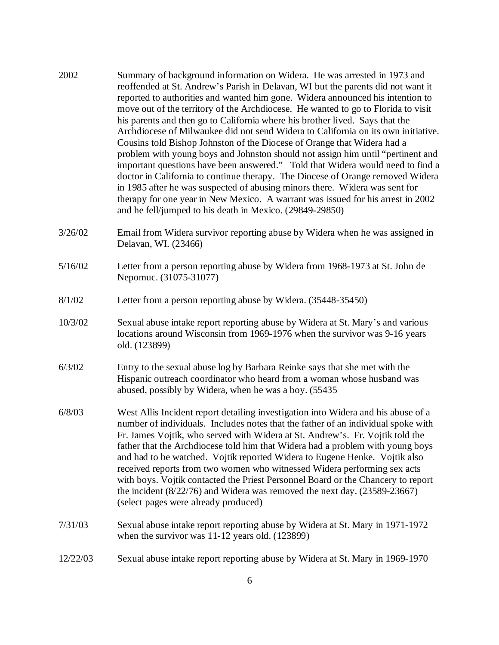- 2002 Summary of background information on Widera. He was arrested in 1973 and reoffended at St. Andrew's Parish in Delavan, WI but the parents did not want it reported to authorities and wanted him gone. Widera announced his intention to move out of the territory of the Archdiocese. He wanted to go to Florida to visit his parents and then go to California where his brother lived. Says that the Archdiocese of Milwaukee did not send Widera to California on its own initiative. Cousins told Bishop Johnston of the Diocese of Orange that Widera had a problem with young boys and Johnston should not assign him until "pertinent and important questions have been answered." Told that Widera would need to find a doctor in California to continue therapy. The Diocese of Orange removed Widera in 1985 after he was suspected of abusing minors there. Widera was sent for therapy for one year in New Mexico. A warrant was issued for his arrest in 2002 and he fell/jumped to his death in Mexico. (29849-29850)
- 3/26/02 Email from Widera survivor reporting abuse by Widera when he was assigned in Delavan, WI. (23466)
- 5/16/02 Letter from a person reporting abuse by Widera from 1968-1973 at St. John de Nepomuc. (31075-31077)
- 8/1/02 Letter from a person reporting abuse by Widera. (35448-35450)
- 10/3/02 Sexual abuse intake report reporting abuse by Widera at St. Mary's and various locations around Wisconsin from 1969-1976 when the survivor was 9-16 years old. (123899)
- 6/3/02 Entry to the sexual abuse log by Barbara Reinke says that she met with the Hispanic outreach coordinator who heard from a woman whose husband was abused, possibly by Widera, when he was a boy. (55435
- 6/8/03 West Allis Incident report detailing investigation into Widera and his abuse of a number of individuals. Includes notes that the father of an individual spoke with Fr. James Vojtik, who served with Widera at St. Andrew's. Fr. Vojtik told the father that the Archdiocese told him that Widera had a problem with young boys and had to be watched. Vojtik reported Widera to Eugene Henke. Vojtik also received reports from two women who witnessed Widera performing sex acts with boys. Vojtik contacted the Priest Personnel Board or the Chancery to report the incident (8/22/76) and Widera was removed the next day. (23589-23667) (select pages were already produced)
- 7/31/03 Sexual abuse intake report reporting abuse by Widera at St. Mary in 1971-1972 when the survivor was 11-12 years old. (123899)
- 12/22/03 Sexual abuse intake report reporting abuse by Widera at St. Mary in 1969-1970